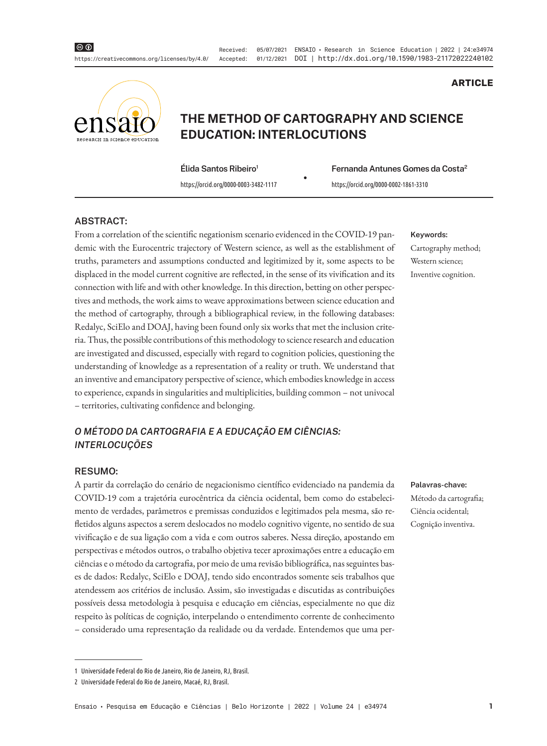Received: 05/07/2021 ENSAIO • Research in Science Education | 2022 | 24:e34974 Accepted: 01/12/2021 DOI | http://dx.doi.org/10.1590/1983-21172022240102



# **THE METHOD OF CARTOGRAPHY AND SCIENCE EDUCATION: INTERLOCUTIONS**

**Élida Santos Ribeiro1**

• **Fernanda Antunes Gomes da Costa2** https://orcid.org/0000-0003-3482-1117 https://orcid.org/0000-0002-1861-3310

### **ABSTRACT:**

From a correlation of the scientific negationism scenario evidenced in the COVID-19 pandemic with the Eurocentric trajectory of Western science, as well as the establishment of truths, parameters and assumptions conducted and legitimized by it, some aspects to be displaced in the model current cognitive are reflected, in the sense of its vivification and its connection with life and with other knowledge. In this direction, betting on other perspectives and methods, the work aims to weave approximations between science education and the method of cartography, through a bibliographical review, in the following databases: Redalyc, SciElo and DOAJ, having been found only six works that met the inclusion criteria. Thus, the possible contributions of this methodology to science research and education are investigated and discussed, especially with regard to cognition policies, questioning the understanding of knowledge as a representation of a reality or truth. We understand that an inventive and emancipatory perspective of science, which embodies knowledge in access to experience, expands in singularities and multiplicities, building common – not univocal – territories, cultivating confidence and belonging.

## *O MÉTODO DA CARTOGRAFIA E A EDUCAÇÃO EM CIÊNCIAS: INTERLOCUÇÕES*

### **RESUMO:**

A partir da correlação do cenário de negacionismo científico evidenciado na pandemia da COVID-19 com a trajetória eurocêntrica da ciência ocidental, bem como do estabelecimento de verdades, parâmetros e premissas conduzidos e legitimados pela mesma, são refletidos alguns aspectos a serem deslocados no modelo cognitivo vigente, no sentido de sua vivificação e de sua ligação com a vida e com outros saberes. Nessa direção, apostando em perspectivas e métodos outros, o trabalho objetiva tecer aproximações entre a educação em ciências e o método da cartografia, por meio de uma revisão bibliográfica, nas seguintes bases de dados: Redalyc, SciElo e DOAJ, tendo sido encontrados somente seis trabalhos que atendessem aos critérios de inclusão. Assim, são investigadas e discutidas as contribuições possíveis dessa metodologia à pesquisa e educação em ciências, especialmente no que diz respeito às políticas de cognição, interpelando o entendimento corrente de conhecimento – considerado uma representação da realidade ou da verdade. Entendemos que uma per-

#### **Keywords:**

Cartography method; Western science; Inventive cognition.

**ARTICLE**

#### **Palavras-chave:**

Método da cartografia; Ciência ocidental; Cognição inventiva.

<sup>1</sup> Universidade Federal do Rio de Janeiro, Rio de Janeiro, RJ, Brasil.

<sup>2</sup> Universidade Federal do Rio de Janeiro, Macaé, RJ, Brasil.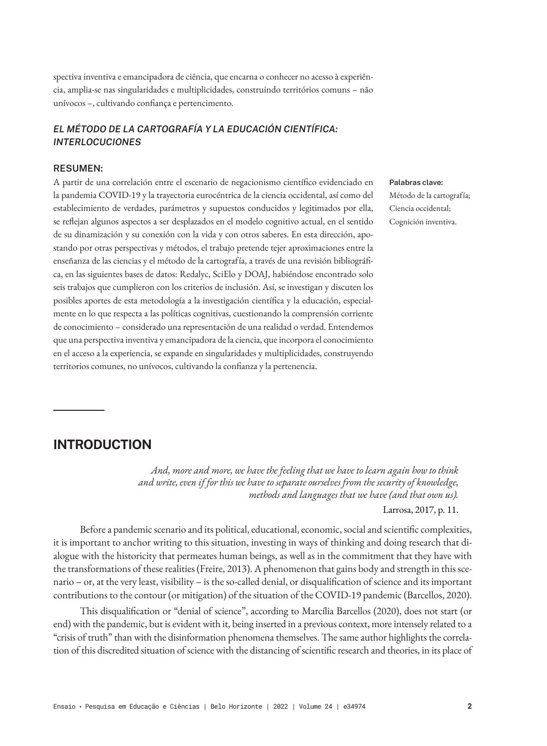spectiva inventiva e emancipadora de ciência, que encarna o conhecer no acesso à experiência, amplia-se nas singularidades e multiplicidades, construindo territórios comuns – não unívocos –, cultivando confiança e pertencimento.

## *EL MÉTODO DE LA CARTOGRAFÍA Y LA EDUCACIÓN CIENTÍFICA: INTERLOCUCIONES*

## **RESUMEN:**

A partir de una correlación entre el escenario de negacionismo científico evidenciado en la pandemia COVID-19 y la trayectoria eurocéntrica de la ciencia occidental, así como del establecimiento de verdades, parámetros y supuestos conducidos y legitimados por ella, se reflejan algunos aspectos a ser desplazados en el modelo cognitivo actual, en el sentido de su dinamización y su conexión con la vida y con otros saberes. En esta dirección, apostando por otras perspectivas y métodos, el trabajo pretende tejer aproximaciones entre la enseñanza de las ciencias y el método de la cartografía, a través de una revisión bibliográfica, en las siguientes bases de datos: Redalyc, SciElo y DOAJ, habiéndose encontrado solo seis trabajos que cumplieron con los criterios de inclusión. Así, se investigan y discuten los posibles aportes de esta metodología a la investigación científica y la educación, especialmente en lo que respecta a las políticas cognitivas, cuestionando la comprensión corriente de conocimiento – considerado una representación de una realidad o verdad. Entendemos que una perspectiva inventiva y emancipadora de la ciencia, que incorpora el conocimiento en el acceso a la experiencia, se expande en singularidades y multiplicidades, construyendo territorios comunes, no unívocos, cultivando la confianza y la pertenencia.

**Palabras clave:** Método de la cartografía; Ciencia occidental; Cognición inventiva.

## **INTRODUCTION**

*And, more and more, we have the feeling that we have to learn again how to think and write, even if for this we have to separate ourselves from the security of knowledge, methods and languages that we have (and that own us).*

Larrosa, 2017, p. 11.

Before a pandemic scenario and its political, educational, economic, social and scientific complexities, it is important to anchor writing to this situation, investing in ways of thinking and doing research that dialogue with the historicity that permeates human beings, as well as in the commitment that they have with the transformations of these realities (Freire, 2013). A phenomenon that gains body and strength in this scenario – or, at the very least, visibility – is the so-called denial, or disqualification of science and its important contributions to the contour (or mitigation) of the situation of the COVID-19 pandemic (Barcellos, 2020).

This disqualification or "denial of science", according to Marcília Barcellos (2020), does not start (or end) with the pandemic, but is evident with it, being inserted in a previous context, more intensely related to a "crisis of truth" than with the disinformation phenomena themselves. The same author highlights the correlation of this discredited situation of science with the distancing of scientific research and theories, in its place of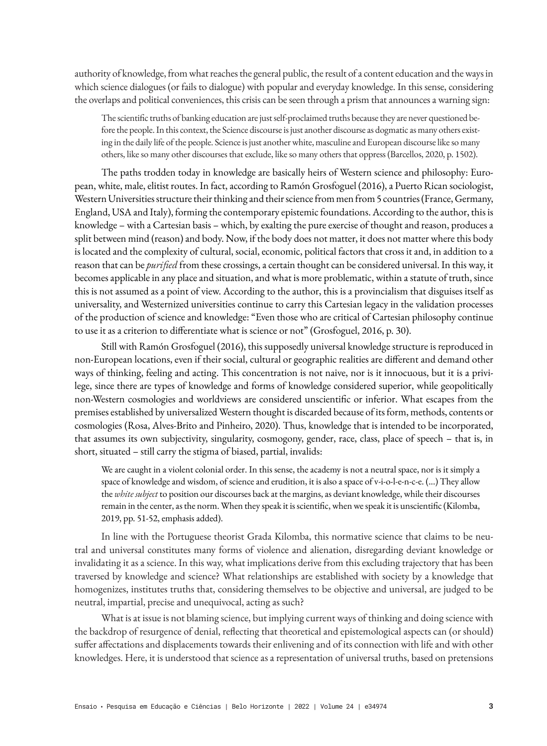authority of knowledge, from what reaches the general public, the result of a content education and the ways in which science dialogues (or fails to dialogue) with popular and everyday knowledge. In this sense, considering the overlaps and political conveniences, this crisis can be seen through a prism that announces a warning sign:

The scientific truths of banking education are just self-proclaimed truths because they are never questioned before the people. In this context, the Science discourse is just another discourse as dogmatic as many others existing in the daily life of the people. Science is just another white, masculine and European discourse like so many others, like so many other discourses that exclude, like so many others that oppress (Barcellos, 2020, p. 1502).

The paths trodden today in knowledge are basically heirs of Western science and philosophy: European, white, male, elitist routes. In fact, according to Ramón Grosfoguel (2016), a Puerto Rican sociologist, Western Universities structure their thinking and their science from men from 5 countries (France, Germany, England, USA and Italy), forming the contemporary epistemic foundations. According to the author, this is knowledge – with a Cartesian basis – which, by exalting the pure exercise of thought and reason, produces a split between mind (reason) and body. Now, if the body does not matter, it does not matter where this body is located and the complexity of cultural, social, economic, political factors that cross it and, in addition to a reason that can be *purified* from these crossings, a certain thought can be considered universal. In this way, it becomes applicable in any place and situation, and what is more problematic, within a statute of truth, since this is not assumed as a point of view. According to the author, this is a provincialism that disguises itself as universality, and Westernized universities continue to carry this Cartesian legacy in the validation processes of the production of science and knowledge: "Even those who are critical of Cartesian philosophy continue to use it as a criterion to differentiate what is science or not" (Grosfoguel, 2016, p. 30).

Still with Ramón Grosfoguel (2016), this supposedly universal knowledge structure is reproduced in non-European locations, even if their social, cultural or geographic realities are different and demand other ways of thinking, feeling and acting. This concentration is not naive, nor is it innocuous, but it is a privilege, since there are types of knowledge and forms of knowledge considered superior, while geopolitically non-Western cosmologies and worldviews are considered unscientific or inferior. What escapes from the premises established by universalized Western thought is discarded because of its form, methods, contents or cosmologies (Rosa, Alves-Brito and Pinheiro, 2020). Thus, knowledge that is intended to be incorporated, that assumes its own subjectivity, singularity, cosmogony, gender, race, class, place of speech – that is, in short, situated – still carry the stigma of biased, partial, invalids:

We are caught in a violent colonial order. In this sense, the academy is not a neutral space, nor is it simply a space of knowledge and wisdom, of science and erudition, it is also a space of v-i-o-l-e-n-c-e. (...) They allow the *white subject* to position our discourses back at the margins, as deviant knowledge, while their discourses remain in the center, as the norm. When they speak it is scientific, when we speak it is unscientific (Kilomba, 2019, pp. 51-52, emphasis added).

In line with the Portuguese theorist Grada Kilomba, this normative science that claims to be neutral and universal constitutes many forms of violence and alienation, disregarding deviant knowledge or invalidating it as a science. In this way, what implications derive from this excluding trajectory that has been traversed by knowledge and science? What relationships are established with society by a knowledge that homogenizes, institutes truths that, considering themselves to be objective and universal, are judged to be neutral, impartial, precise and unequivocal, acting as such?

What is at issue is not blaming science, but implying current ways of thinking and doing science with the backdrop of resurgence of denial, reflecting that theoretical and epistemological aspects can (or should) suffer affectations and displacements towards their enlivening and of its connection with life and with other knowledges. Here, it is understood that science as a representation of universal truths, based on pretensions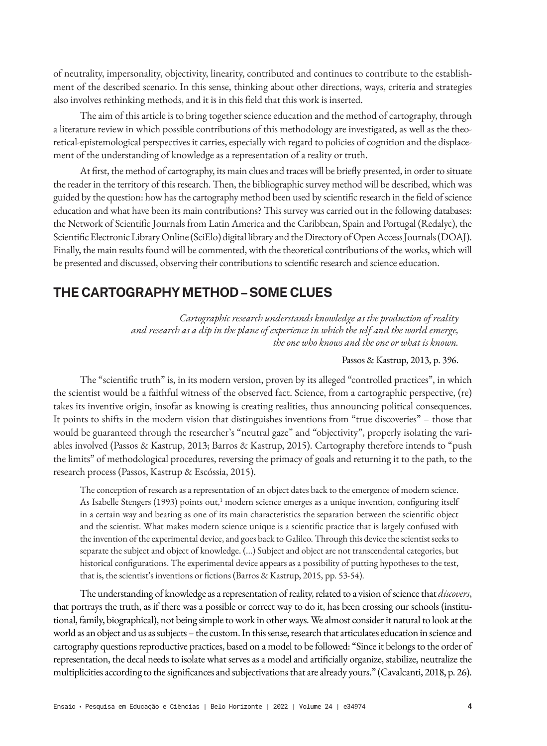of neutrality, impersonality, objectivity, linearity, contributed and continues to contribute to the establishment of the described scenario. In this sense, thinking about other directions, ways, criteria and strategies also involves rethinking methods, and it is in this field that this work is inserted.

The aim of this article is to bring together science education and the method of cartography, through a literature review in which possible contributions of this methodology are investigated, as well as the theoretical-epistemological perspectives it carries, especially with regard to policies of cognition and the displacement of the understanding of knowledge as a representation of a reality or truth.

At first, the method of cartography, its main clues and traces will be briefly presented, in order to situate the reader in the territory of this research. Then, the bibliographic survey method will be described, which was guided by the question: how has the cartography method been used by scientific research in the field of science education and what have been its main contributions? This survey was carried out in the following databases: the Network of Scientific Journals from Latin America and the Caribbean, Spain and Portugal (Redalyc), the Scientific Electronic Library Online (SciElo) digital library and the Directory of Open Access Journals (DOAJ). Finally, the main results found will be commented, with the theoretical contributions of the works, which will be presented and discussed, observing their contributions to scientific research and science education.

# **THE CARTOGRAPHY METHOD – SOME CLUES**

*Cartographic research understands knowledge as the production of reality and research as a dip in the plane of experience in which the self and the world emerge, the one who knows and the one or what is known.*

### Passos & Kastrup, 2013, p. 396.

The "scientific truth" is, in its modern version, proven by its alleged "controlled practices", in which the scientist would be a faithful witness of the observed fact. Science, from a cartographic perspective, (re) takes its inventive origin, insofar as knowing is creating realities, thus announcing political consequences. It points to shifts in the modern vision that distinguishes inventions from "true discoveries" – those that would be guaranteed through the researcher's "neutral gaze" and "objectivity", properly isolating the variables involved (Passos & Kastrup, 2013; Barros & Kastrup, 2015). Cartography therefore intends to "push the limits" of methodological procedures, reversing the primacy of goals and returning it to the path, to the research process (Passos, Kastrup & Escóssia, 2015).

The conception of research as a representation of an object dates back to the emergence of modern science. As Isabelle Stengers (1993) points out,<sup>1</sup> modern science emerges as a unique invention, configuring itself in a certain way and bearing as one of its main characteristics the separation between the scientific object and the scientist. What makes modern science unique is a scientific practice that is largely confused with the invention of the experimental device, and goes back to Galileo. Through this device the scientist seeks to separate the subject and object of knowledge. (...) Subject and object are not transcendental categories, but historical configurations. The experimental device appears as a possibility of putting hypotheses to the test, that is, the scientist's inventions or fictions (Barros & Kastrup, 2015, pp. 53-54).

The understanding of knowledge as a representation of reality, related to a vision of science that *discovers*, that portrays the truth, as if there was a possible or correct way to do it, has been crossing our schools (institutional, family, biographical), not being simple to work in other ways. We almost consider it natural to look at the world as an object and us as subjects – the custom. In this sense, research that articulates education in science and cartography questions reproductive practices, based on a model to be followed: "Since it belongs to the order of representation, the decal needs to isolate what serves as a model and artificially organize, stabilize, neutralize the multiplicities according to the significances and subjectivations that are already yours." (Cavalcanti, 2018, p. 26).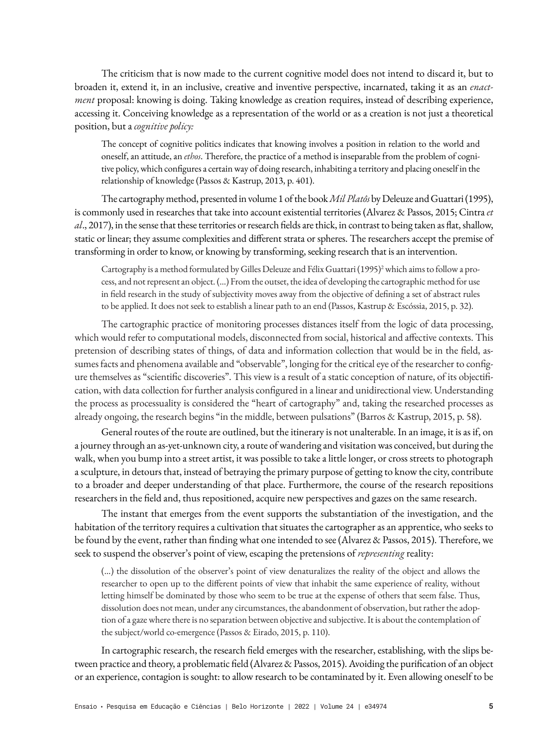The criticism that is now made to the current cognitive model does not intend to discard it, but to broaden it, extend it, in an inclusive, creative and inventive perspective, incarnated, taking it as an *enactment* proposal: knowing is doing. Taking knowledge as creation requires, instead of describing experience, accessing it. Conceiving knowledge as a representation of the world or as a creation is not just a theoretical position, but a *cognitive policy:*

The concept of cognitive politics indicates that knowing involves a position in relation to the world and oneself, an attitude, an *ethos*. Therefore, the practice of a method is inseparable from the problem of cognitive policy, which configures a certain way of doing research, inhabiting a territory and placing oneself in the relationship of knowledge (Passos & Kastrup, 2013, p. 401).

The cartography method, presented in volume 1 of the book *Mil Platôs* by Deleuze and Guattari (1995), is commonly used in researches that take into account existential territories (Alvarez & Passos, 2015; Cintra *et al*., 2017), in the sense that these territories or research fields are thick, in contrast to being taken as flat, shallow, static or linear; they assume complexities and different strata or spheres. The researchers accept the premise of transforming in order to know, or knowing by transforming, seeking research that is an intervention.

Cartography is a method formulated by Gilles Deleuze and Félix Guattari (1995)<sup>2</sup> which aims to follow a process, and not represent an object. (...) From the outset, the idea of developing the cartographic method for use in field research in the study of subjectivity moves away from the objective of defining a set of abstract rules to be applied. It does not seek to establish a linear path to an end (Passos, Kastrup & Escóssia, 2015, p. 32).

The cartographic practice of monitoring processes distances itself from the logic of data processing, which would refer to computational models, disconnected from social, historical and affective contexts. This pretension of describing states of things, of data and information collection that would be in the field, assumes facts and phenomena available and "observable", longing for the critical eye of the researcher to configure themselves as "scientific discoveries". This view is a result of a static conception of nature, of its objectification, with data collection for further analysis configured in a linear and unidirectional view. Understanding the process as processuality is considered the "heart of cartography" and, taking the researched processes as already ongoing, the research begins "in the middle, between pulsations" (Barros & Kastrup, 2015, p. 58).

General routes of the route are outlined, but the itinerary is not unalterable. In an image, it is as if, on a journey through an as-yet-unknown city, a route of wandering and visitation was conceived, but during the walk, when you bump into a street artist, it was possible to take a little longer, or cross streets to photograph a sculpture, in detours that, instead of betraying the primary purpose of getting to know the city, contribute to a broader and deeper understanding of that place. Furthermore, the course of the research repositions researchers in the field and, thus repositioned, acquire new perspectives and gazes on the same research.

The instant that emerges from the event supports the substantiation of the investigation, and the habitation of the territory requires a cultivation that situates the cartographer as an apprentice, who seeks to be found by the event, rather than finding what one intended to see (Alvarez & Passos, 2015). Therefore, we seek to suspend the observer's point of view, escaping the pretensions of *representing* reality:

(...) the dissolution of the observer's point of view denaturalizes the reality of the object and allows the researcher to open up to the different points of view that inhabit the same experience of reality, without letting himself be dominated by those who seem to be true at the expense of others that seem false. Thus, dissolution does not mean, under any circumstances, the abandonment of observation, but rather the adoption of a gaze where there is no separation between objective and subjective. It is about the contemplation of the subject/world co-emergence (Passos & Eirado, 2015, p. 110).

In cartographic research, the research field emerges with the researcher, establishing, with the slips between practice and theory, a problematic field (Alvarez & Passos, 2015). Avoiding the purification of an object or an experience, contagion is sought: to allow research to be contaminated by it. Even allowing oneself to be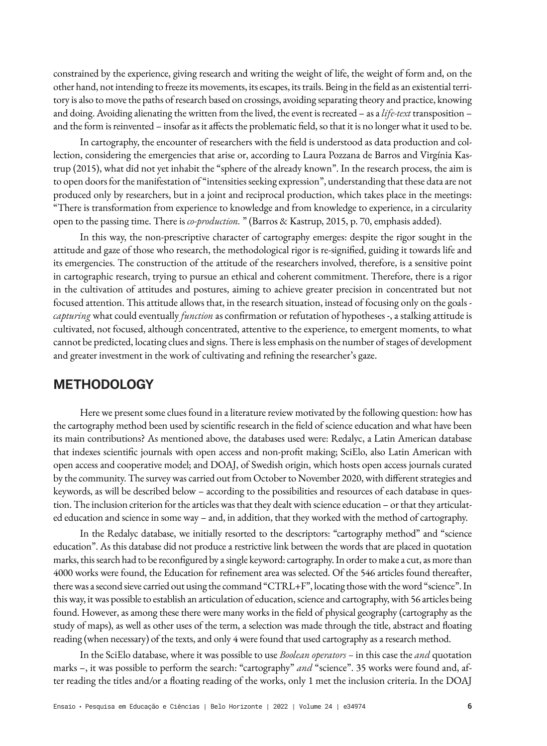constrained by the experience, giving research and writing the weight of life, the weight of form and, on the other hand, not intending to freeze its movements, its escapes, its trails. Being in the field as an existential territory is also to move the paths of research based on crossings, avoiding separating theory and practice, knowing and doing. Avoiding alienating the written from the lived, the event is recreated – as a *life-text* transposition – and the form is reinvented – insofar as it affects the problematic field, so that it is no longer what it used to be.

In cartography, the encounter of researchers with the field is understood as data production and collection, considering the emergencies that arise or, according to Laura Pozzana de Barros and Virgínia Kastrup (2015), what did not yet inhabit the "sphere of the already known". In the research process, the aim is to open doors for the manifestation of "intensities seeking expression", understanding that these data are not produced only by researchers, but in a joint and reciprocal production, which takes place in the meetings: "There is transformation from experience to knowledge and from knowledge to experience, in a circularity open to the passing time. There is *co-production.* " (Barros & Kastrup, 2015, p. 70, emphasis added).

In this way, the non-prescriptive character of cartography emerges: despite the rigor sought in the attitude and gaze of those who research, the methodological rigor is re-signified, guiding it towards life and its emergencies. The construction of the attitude of the researchers involved, therefore, is a sensitive point in cartographic research, trying to pursue an ethical and coherent commitment. Therefore, there is a rigor in the cultivation of attitudes and postures, aiming to achieve greater precision in concentrated but not focused attention. This attitude allows that, in the research situation, instead of focusing only on the goals *capturing* what could eventually *function* as confirmation or refutation of hypotheses -, a stalking attitude is cultivated, not focused, although concentrated, attentive to the experience, to emergent moments, to what cannot be predicted, locating clues and signs. There is less emphasis on the number of stages of development and greater investment in the work of cultivating and refining the researcher's gaze.

## **METHODOLOGY**

Here we present some clues found in a literature review motivated by the following question: how has the cartography method been used by scientific research in the field of science education and what have been its main contributions? As mentioned above, the databases used were: Redalyc, a Latin American database that indexes scientific journals with open access and non-profit making; SciElo, also Latin American with open access and cooperative model; and DOAJ, of Swedish origin, which hosts open access journals curated by the community. The survey was carried out from October to November 2020, with different strategies and keywords, as will be described below – according to the possibilities and resources of each database in question. The inclusion criterion for the articles was that they dealt with science education – or that they articulated education and science in some way – and, in addition, that they worked with the method of cartography.

In the Redalyc database, we initially resorted to the descriptors: "cartography method" and "science education". As this database did not produce a restrictive link between the words that are placed in quotation marks, this search had to be reconfigured by a single keyword: cartography. In order to make a cut, as more than 4000 works were found, the Education for refinement area was selected. Of the 546 articles found thereafter, there was a second sieve carried out using the command "CTRL+F", locating those with the word "science". In this way, it was possible to establish an articulation of education, science and cartography, with 56 articles being found. However, as among these there were many works in the field of physical geography (cartography as the study of maps), as well as other uses of the term, a selection was made through the title, abstract and floating reading (when necessary) of the texts, and only 4 were found that used cartography as a research method.

In the SciElo database, where it was possible to use *Boolean operators –* in this case the *and* quotation marks –, it was possible to perform the search: "cartography" *and* "science". 35 works were found and, after reading the titles and/or a floating reading of the works, only 1 met the inclusion criteria. In the DOAJ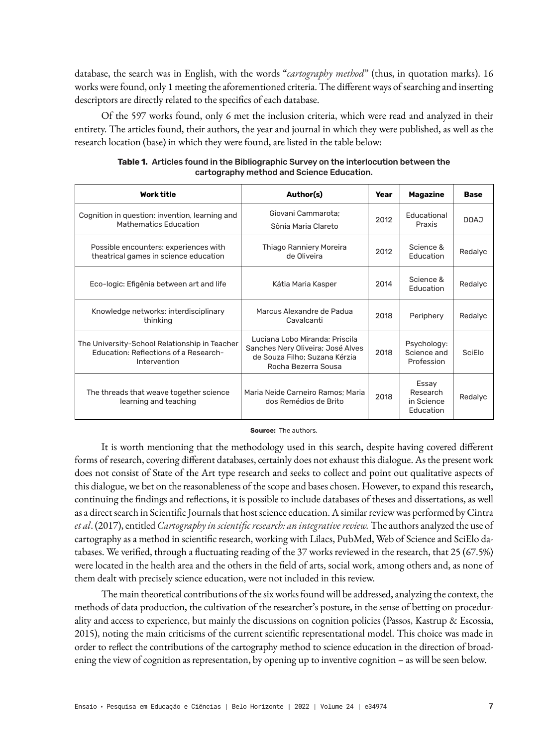database, the search was in English, with the words "*cartography method*" (thus, in quotation marks). 16 works were found, only 1 meeting the aforementioned criteria. The different ways of searching and inserting descriptors are directly related to the specifics of each database.

Of the 597 works found, only 6 met the inclusion criteria, which were read and analyzed in their entirety. The articles found, their authors, the year and journal in which they were published, as well as the research location (base) in which they were found, are listed in the table below:

| <b>Work title</b>                                                                                      | Author(s)                                                                                                                   | Year | Magazine                                     | <b>Base</b> |
|--------------------------------------------------------------------------------------------------------|-----------------------------------------------------------------------------------------------------------------------------|------|----------------------------------------------|-------------|
| Cognition in question: invention, learning and<br><b>Mathematics Education</b>                         | Giovani Cammarota;<br>Sônia Maria Clareto                                                                                   | 2012 | Educational<br>Praxis                        | LAOO        |
| Possible encounters: experiences with<br>theatrical games in science education                         | Thiago Ranniery Moreira<br>de Oliveira                                                                                      | 2012 | Science &<br>Education                       | Redalyc     |
| Eco-logic: Efigênia between art and life                                                               | Kátia Maria Kasper                                                                                                          | 2014 | Science &<br>Education                       | Redalyc     |
| Knowledge networks: interdisciplinary<br>thinking                                                      | Marcus Alexandre de Padua<br>Cavalcanti                                                                                     | 2018 | Periphery                                    | Redalyc     |
| The University-School Relationship in Teacher<br>Education: Reflections of a Research-<br>Intervention | Luciana Lobo Miranda; Priscila<br>Sanches Nery Oliveira; José Alves<br>de Souza Filho: Suzana Kérzia<br>Rocha Bezerra Sousa | 2018 | Psychology:<br>Science and<br>Profession     | SciElo      |
| The threads that weave together science<br>learning and teaching                                       | Maria Neide Carneiro Ramos; Maria<br>dos Remédios de Brito                                                                  | 2018 | Essay<br>Research<br>in Science<br>Education | Redalyc     |

| Table 1. Articles found in the Bibliographic Survey on the interlocution between the |
|--------------------------------------------------------------------------------------|
| cartography method and Science Education.                                            |

#### **Source:** The authors.

It is worth mentioning that the methodology used in this search, despite having covered different forms of research, covering different databases, certainly does not exhaust this dialogue. As the present work does not consist of State of the Art type research and seeks to collect and point out qualitative aspects of this dialogue, we bet on the reasonableness of the scope and bases chosen. However, to expand this research, continuing the findings and reflections, it is possible to include databases of theses and dissertations, as well as a direct search in Scientific Journals that host science education. A similar review was performed by Cintra *et al*. (2017), entitled *Cartography in scientific research: an integrative review.* The authors analyzed the use of cartography as a method in scientific research, working with Lilacs, PubMed, Web of Science and SciElo databases. We verified, through a fluctuating reading of the 37 works reviewed in the research, that 25 (67.5%) were located in the health area and the others in the field of arts, social work, among others and, as none of them dealt with precisely science education, were not included in this review.

The main theoretical contributions of the six works found will be addressed, analyzing the context, the methods of data production, the cultivation of the researcher's posture, in the sense of betting on procedurality and access to experience, but mainly the discussions on cognition policies (Passos, Kastrup & Escossia, 2015), noting the main criticisms of the current scientific representational model. This choice was made in order to reflect the contributions of the cartography method to science education in the direction of broadening the view of cognition as representation, by opening up to inventive cognition – as will be seen below.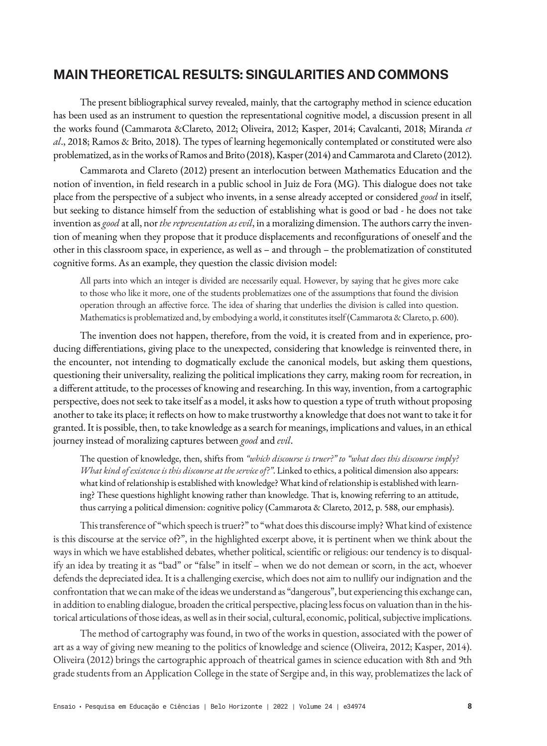# **MAIN THEORETICAL RESULTS: SINGULARITIES AND COMMONS**

The present bibliographical survey revealed, mainly, that the cartography method in science education has been used as an instrument to question the representational cognitive model, a discussion present in all the works found (Cammarota &Clareto, 2012; Oliveira, 2012; Kasper, 2014; Cavalcanti, 2018; Miranda *et al*., 2018; Ramos & Brito, 2018). The types of learning hegemonically contemplated or constituted were also problematized, as in the works of Ramos and Brito (2018), Kasper (2014) and Cammarota and Clareto (2012).

Cammarota and Clareto (2012) present an interlocution between Mathematics Education and the notion of invention, in field research in a public school in Juiz de Fora (MG). This dialogue does not take place from the perspective of a subject who invents, in a sense already accepted or considered *good* in itself, but seeking to distance himself from the seduction of establishing what is good or bad - he does not take invention as *good* at all, nor *the representation as evil*, in a moralizing dimension. The authors carry the invention of meaning when they propose that it produce displacements and reconfigurations of oneself and the other in this classroom space, in experience, as well as – and through – the problematization of constituted cognitive forms. As an example, they question the classic division model:

All parts into which an integer is divided are necessarily equal. However, by saying that he gives more cake to those who like it more, one of the students problematizes one of the assumptions that found the division operation through an affective force. The idea of sharing that underlies the division is called into question. Mathematics is problematized and, by embodying a world, it constitutes itself (Cammarota & Clareto, p. 600).

The invention does not happen, therefore, from the void, it is created from and in experience, producing differentiations, giving place to the unexpected, considering that knowledge is reinvented there, in the encounter, not intending to dogmatically exclude the canonical models, but asking them questions, questioning their universality, realizing the political implications they carry, making room for recreation, in a different attitude, to the processes of knowing and researching. In this way, invention, from a cartographic perspective, does not seek to take itself as a model, it asks how to question a type of truth without proposing another to take its place; it reflects on how to make trustworthy a knowledge that does not want to take it for granted. It is possible, then, to take knowledge as a search for meanings, implications and values, in an ethical journey instead of moralizing captures between *good* and *evil*.

The question of knowledge, then, shifts from *"which discourse is truer?" to "what does this discourse imply? What kind of existence is this discourse at the service of?"*. Linked to ethics, a political dimension also appears: what kind of relationship is established with knowledge? What kind of relationship is established with learning? These questions highlight knowing rather than knowledge. That is, knowing referring to an attitude, thus carrying a political dimension: cognitive policy (Cammarota & Clareto, 2012, p. 588, our emphasis).

This transference of "which speech is truer?" to "what does this discourse imply? What kind of existence is this discourse at the service of?", in the highlighted excerpt above, it is pertinent when we think about the ways in which we have established debates, whether political, scientific or religious: our tendency is to disqualify an idea by treating it as "bad" or "false" in itself – when we do not demean or scorn, in the act, whoever defends the depreciated idea. It is a challenging exercise, which does not aim to nullify our indignation and the confrontation that we can make of the ideas we understand as "dangerous", but experiencing this exchange can, in addition to enabling dialogue, broaden the critical perspective, placing less focus on valuation than in the historical articulations of those ideas, as well as in their social, cultural, economic, political, subjective implications.

The method of cartography was found, in two of the works in question, associated with the power of art as a way of giving new meaning to the politics of knowledge and science (Oliveira, 2012; Kasper, 2014). Oliveira (2012) brings the cartographic approach of theatrical games in science education with 8th and 9th grade students from an Application College in the state of Sergipe and, in this way, problematizes the lack of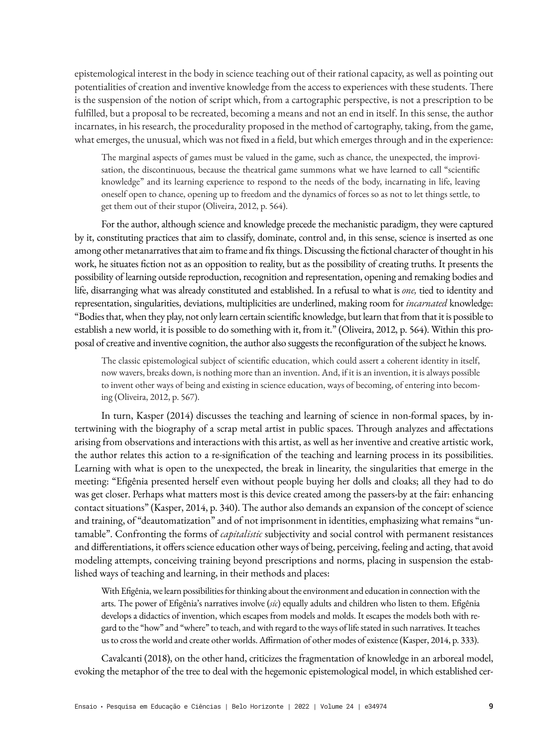epistemological interest in the body in science teaching out of their rational capacity, as well as pointing out potentialities of creation and inventive knowledge from the access to experiences with these students. There is the suspension of the notion of script which, from a cartographic perspective, is not a prescription to be fulfilled, but a proposal to be recreated, becoming a means and not an end in itself. In this sense, the author incarnates, in his research, the procedurality proposed in the method of cartography, taking, from the game, what emerges, the unusual, which was not fixed in a field, but which emerges through and in the experience:

The marginal aspects of games must be valued in the game, such as chance, the unexpected, the improvisation, the discontinuous, because the theatrical game summons what we have learned to call "scientific knowledge" and its learning experience to respond to the needs of the body, incarnating in life, leaving oneself open to chance, opening up to freedom and the dynamics of forces so as not to let things settle, to get them out of their stupor (Oliveira, 2012, p. 564).

For the author, although science and knowledge precede the mechanistic paradigm, they were captured by it, constituting practices that aim to classify, dominate, control and, in this sense, science is inserted as one among other metanarratives that aim to frame and fix things. Discussing the fictional character of thought in his work, he situates fiction not as an opposition to reality, but as the possibility of creating truths. It presents the possibility of learning outside reproduction, recognition and representation, opening and remaking bodies and life, disarranging what was already constituted and established. In a refusal to what is *one,* tied to identity and representation, singularities, deviations, multiplicities are underlined, making room for *incarnated* knowledge: "Bodies that, when they play, not only learn certain scientific knowledge, but learn that from that it is possible to establish a new world, it is possible to do something with it, from it." (Oliveira, 2012, p. 564). Within this proposal of creative and inventive cognition, the author also suggests the reconfiguration of the subject he knows.

The classic epistemological subject of scientific education, which could assert a coherent identity in itself, now wavers, breaks down, is nothing more than an invention. And, if it is an invention, it is always possible to invent other ways of being and existing in science education, ways of becoming, of entering into becoming (Oliveira, 2012, p. 567).

In turn, Kasper (2014) discusses the teaching and learning of science in non-formal spaces, by intertwining with the biography of a scrap metal artist in public spaces. Through analyzes and affectations arising from observations and interactions with this artist, as well as her inventive and creative artistic work, the author relates this action to a re-signification of the teaching and learning process in its possibilities. Learning with what is open to the unexpected, the break in linearity, the singularities that emerge in the meeting: "Efigênia presented herself even without people buying her dolls and cloaks; all they had to do was get closer. Perhaps what matters most is this device created among the passers-by at the fair: enhancing contact situations" (Kasper, 2014, p. 340). The author also demands an expansion of the concept of science and training, of "deautomatization" and of not imprisonment in identities, emphasizing what remains "untamable". Confronting the forms of *capitalistic* subjectivity and social control with permanent resistances and differentiations, it offers science education other ways of being, perceiving, feeling and acting, that avoid modeling attempts, conceiving training beyond prescriptions and norms, placing in suspension the established ways of teaching and learning, in their methods and places:

With Efigênia, we learn possibilities for thinking about the environment and education in connection with the arts. The power of Efigênia's narratives involve (*sic*) equally adults and children who listen to them. Efigênia develops a didactics of invention, which escapes from models and molds. It escapes the models both with regard to the "how" and "where" to teach, and with regard to the ways of life stated in such narratives. It teaches us to cross the world and create other worlds. Affirmation of other modes of existence (Kasper, 2014, p. 333).

Cavalcanti (2018), on the other hand, criticizes the fragmentation of knowledge in an arboreal model, evoking the metaphor of the tree to deal with the hegemonic epistemological model, in which established cer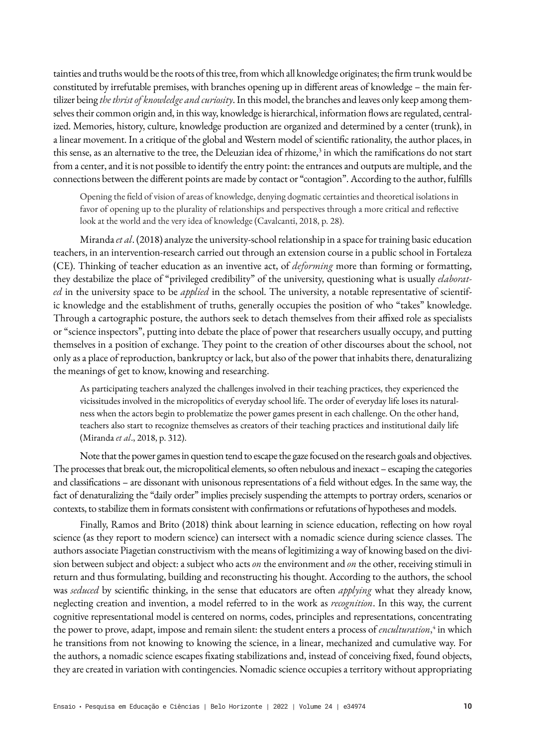tainties and truths would be the roots of this tree, from which all knowledge originates; the firm trunk would be constituted by irrefutable premises, with branches opening up in different areas of knowledge – the main fertilizer being *the thrist of knowledge and curiosity*. In this model, the branches and leaves only keep among themselves their common origin and, in this way, knowledge is hierarchical, information flows are regulated, centralized. Memories, history, culture, knowledge production are organized and determined by a center (trunk), in a linear movement. In a critique of the global and Western model of scientific rationality, the author places, in this sense, as an alternative to the tree, the Deleuzian idea of rhizome,<sup>3</sup> in which the ramifications do not start from a center, and it is not possible to identify the entry point: the entrances and outputs are multiple, and the connections between the different points are made by contact or "contagion". According to the author, fulfills

Opening the field of vision of areas of knowledge, denying dogmatic certainties and theoretical isolations in favor of opening up to the plurality of relationships and perspectives through a more critical and reflective look at the world and the very idea of knowledge (Cavalcanti, 2018, p. 28).

Miranda *et al*. (2018) analyze the university-school relationship in a space for training basic education teachers, in an intervention-research carried out through an extension course in a public school in Fortaleza (CE). Thinking of teacher education as an inventive act, of *deforming* more than forming or formatting, they destabilize the place of "privileged credibility" of the university, questioning what is usually *elaborated* in the university space to be *applied* in the school. The university, a notable representative of scientific knowledge and the establishment of truths, generally occupies the position of who "takes" knowledge. Through a cartographic posture, the authors seek to detach themselves from their affixed role as specialists or "science inspectors", putting into debate the place of power that researchers usually occupy, and putting themselves in a position of exchange. They point to the creation of other discourses about the school, not only as a place of reproduction, bankruptcy or lack, but also of the power that inhabits there, denaturalizing the meanings of get to know, knowing and researching.

As participating teachers analyzed the challenges involved in their teaching practices, they experienced the vicissitudes involved in the micropolitics of everyday school life. The order of everyday life loses its naturalness when the actors begin to problematize the power games present in each challenge. On the other hand, teachers also start to recognize themselves as creators of their teaching practices and institutional daily life (Miranda *et al*., 2018, p. 312).

Note that the power games in question tend to escape the gaze focused on the research goals and objectives. The processes that break out, the micropolitical elements, so often nebulous and inexact – escaping the categories and classifications – are dissonant with unisonous representations of a field without edges. In the same way, the fact of denaturalizing the "daily order" implies precisely suspending the attempts to portray orders, scenarios or contexts, to stabilize them in formats consistent with confirmations or refutations of hypotheses and models.

Finally, Ramos and Brito (2018) think about learning in science education, reflecting on how royal science (as they report to modern science) can intersect with a nomadic science during science classes. The authors associate Piagetian constructivism with the means of legitimizing a way of knowing based on the division between subject and object: a subject who acts *on* the environment and *on* the other, receiving stimuli in return and thus formulating, building and reconstructing his thought. According to the authors, the school was *seduced* by scientific thinking, in the sense that educators are often *applying* what they already know, neglecting creation and invention, a model referred to in the work as *recognition*. In this way, the current cognitive representational model is centered on norms, codes, principles and representations, concentrating the power to prove, adapt, impose and remain silent: the student enters a process of *enculturation*,<sup>4</sup> in which he transitions from not knowing to knowing the science, in a linear, mechanized and cumulative way. For the authors, a nomadic science escapes fixating stabilizations and, instead of conceiving fixed, found objects, they are created in variation with contingencies. Nomadic science occupies a territory without appropriating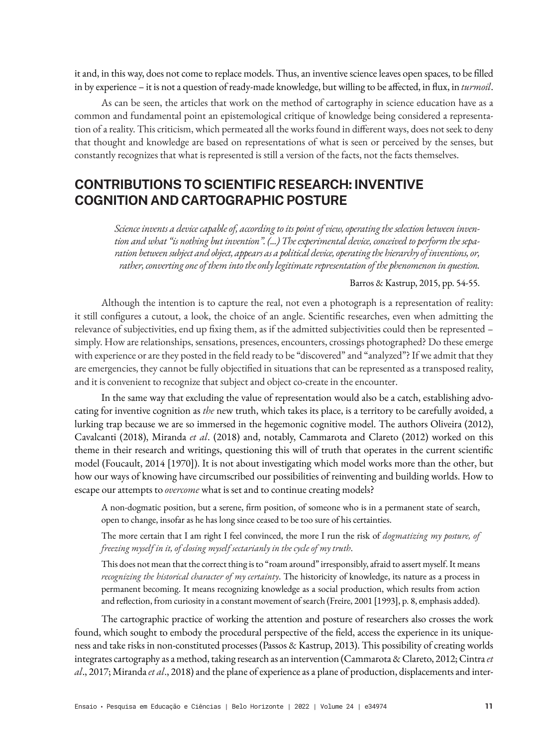it and, in this way, does not come to replace models. Thus, an inventive science leaves open spaces, to be filled in by experience – it is not a question of ready-made knowledge, but willing to be affected, in flux, in *turmoil*.

As can be seen, the articles that work on the method of cartography in science education have as a common and fundamental point an epistemological critique of knowledge being considered a representation of a reality. This criticism, which permeated all the works found in different ways, does not seek to deny that thought and knowledge are based on representations of what is seen or perceived by the senses, but constantly recognizes that what is represented is still a version of the facts, not the facts themselves.

# **CONTRIBUTIONS TO SCIENTIFIC RESEARCH: INVENTIVE COGNITION AND CARTOGRAPHIC POSTURE**

*Science invents a device capable of, according to its point of view, operating the selection between invention and what "is nothing but invention". (...) The experimental device, conceived to perform the separation between subject and object, appears as a political device, operating the hierarchy of inventions, or, rather, converting one of them into the only legitimate representation of the phenomenon in question.*

### Barros & Kastrup, 2015, pp. 54-55.

Although the intention is to capture the real, not even a photograph is a representation of reality: it still configures a cutout, a look, the choice of an angle. Scientific researches, even when admitting the relevance of subjectivities, end up fixing them, as if the admitted subjectivities could then be represented – simply. How are relationships, sensations, presences, encounters, crossings photographed? Do these emerge with experience or are they posted in the field ready to be "discovered" and "analyzed"? If we admit that they are emergencies, they cannot be fully objectified in situations that can be represented as a transposed reality, and it is convenient to recognize that subject and object co-create in the encounter.

In the same way that excluding the value of representation would also be a catch, establishing advocating for inventive cognition as *the* new truth, which takes its place, is a territory to be carefully avoided, a lurking trap because we are so immersed in the hegemonic cognitive model. The authors Oliveira (2012), Cavalcanti (2018), Miranda *et al*. (2018) and, notably, Cammarota and Clareto (2012) worked on this theme in their research and writings, questioning this will of truth that operates in the current scientific model (Foucault, 2014 [1970]). It is not about investigating which model works more than the other, but how our ways of knowing have circumscribed our possibilities of reinventing and building worlds. How to escape our attempts to *overcome* what is set and to continue creating models?

A non-dogmatic position, but a serene, firm position, of someone who is in a permanent state of search, open to change, insofar as he has long since ceased to be too sure of his certainties.

The more certain that I am right I feel convinced, the more I run the risk of *dogmatizing my posture, of freezing myself in it, of closing myself sectarianly in the cycle of my truth*.

This does not mean that the correct thing is to "roam around" irresponsibly, afraid to assert myself. It means *recognizing the historical character of my certainty*. The historicity of knowledge, its nature as a process in permanent becoming. It means recognizing knowledge as a social production, which results from action and reflection, from curiosity in a constant movement of search (Freire, 2001 [1993], p. 8, emphasis added).

The cartographic practice of working the attention and posture of researchers also crosses the work found, which sought to embody the procedural perspective of the field, access the experience in its uniqueness and take risks in non-constituted processes (Passos & Kastrup, 2013). This possibility of creating worlds integrates cartography as a method, taking research as an intervention (Cammarota & Clareto, 2012; Cintra *et al*., 2017; Miranda *et al*., 2018) and the plane of experience as a plane of production, displacements and inter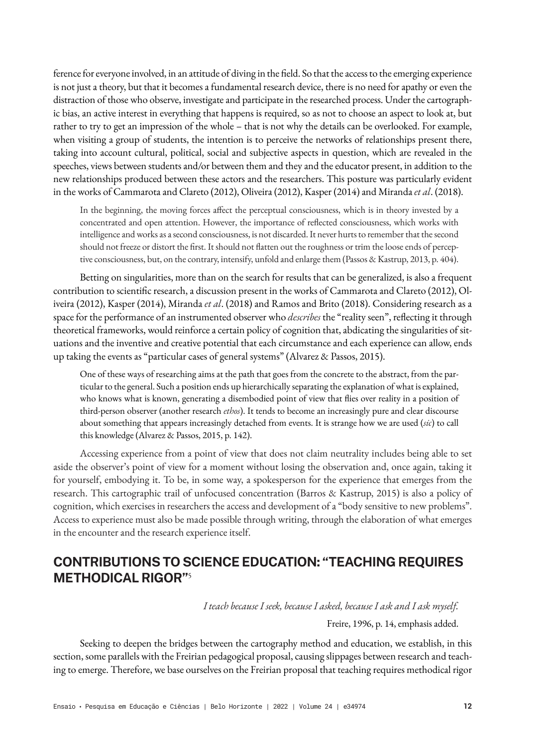ference for everyone involved, in an attitude of diving in the field. So that the access to the emerging experience is not just a theory, but that it becomes a fundamental research device, there is no need for apathy or even the distraction of those who observe, investigate and participate in the researched process. Under the cartographic bias, an active interest in everything that happens is required, so as not to choose an aspect to look at, but rather to try to get an impression of the whole – that is not why the details can be overlooked. For example, when visiting a group of students, the intention is to perceive the networks of relationships present there, taking into account cultural, political, social and subjective aspects in question, which are revealed in the speeches, views between students and/or between them and they and the educator present, in addition to the new relationships produced between these actors and the researchers. This posture was particularly evident in the works of Cammarota and Clareto (2012), Oliveira (2012), Kasper (2014) and Miranda *et al*. (2018).

In the beginning, the moving forces affect the perceptual consciousness, which is in theory invested by a concentrated and open attention. However, the importance of reflected consciousness, which works with intelligence and works as a second consciousness, is not discarded. It never hurts to remember that the second should not freeze or distort the first. It should not flatten out the roughness or trim the loose ends of perceptive consciousness, but, on the contrary, intensify, unfold and enlarge them (Passos & Kastrup, 2013, p. 404).

Betting on singularities, more than on the search for results that can be generalized, is also a frequent contribution to scientific research, a discussion present in the works of Cammarota and Clareto (2012), Oliveira (2012), Kasper (2014), Miranda *et al*. (2018) and Ramos and Brito (2018). Considering research as a space for the performance of an instrumented observer who *describes* the "reality seen", reflecting it through theoretical frameworks, would reinforce a certain policy of cognition that, abdicating the singularities of situations and the inventive and creative potential that each circumstance and each experience can allow, ends up taking the events as "particular cases of general systems" (Alvarez & Passos, 2015).

One of these ways of researching aims at the path that goes from the concrete to the abstract, from the particular to the general. Such a position ends up hierarchically separating the explanation of what is explained, who knows what is known, generating a disembodied point of view that flies over reality in a position of third-person observer (another research *ethos*). It tends to become an increasingly pure and clear discourse about something that appears increasingly detached from events. It is strange how we are used (*sic*) to call this knowledge (Alvarez & Passos, 2015, p. 142).

Accessing experience from a point of view that does not claim neutrality includes being able to set aside the observer's point of view for a moment without losing the observation and, once again, taking it for yourself, embodying it. To be, in some way, a spokesperson for the experience that emerges from the research. This cartographic trail of unfocused concentration (Barros & Kastrup, 2015) is also a policy of cognition, which exercises in researchers the access and development of a "body sensitive to new problems". Access to experience must also be made possible through writing, through the elaboration of what emerges in the encounter and the research experience itself.

# **CONTRIBUTIONS TO SCIENCE EDUCATION: "TEACHING REQUIRES METHODICAL RIGOR"**<sup>5</sup>

*I teach because I seek, because I asked, because I ask and I ask myself.*

Freire, 1996, p. 14, emphasis added.

Seeking to deepen the bridges between the cartography method and education, we establish, in this section, some parallels with the Freirian pedagogical proposal, causing slippages between research and teaching to emerge. Therefore, we base ourselves on the Freirian proposal that teaching requires methodical rigor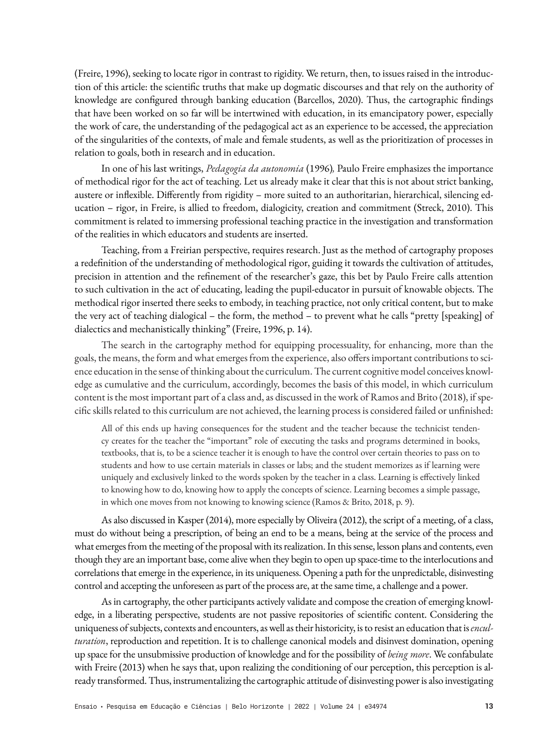(Freire, 1996), seeking to locate rigor in contrast to rigidity. We return, then, to issues raised in the introduction of this article: the scientific truths that make up dogmatic discourses and that rely on the authority of knowledge are configured through banking education (Barcellos, 2020). Thus, the cartographic findings that have been worked on so far will be intertwined with education, in its emancipatory power, especially the work of care, the understanding of the pedagogical act as an experience to be accessed, the appreciation of the singularities of the contexts, of male and female students, as well as the prioritization of processes in relation to goals, both in research and in education.

In one of his last writings, *Pedagogia da autonomia* (1996)*,* Paulo Freire emphasizes the importance of methodical rigor for the act of teaching. Let us already make it clear that this is not about strict banking, austere or inflexible. Differently from rigidity – more suited to an authoritarian, hierarchical, silencing education – rigor, in Freire, is allied to freedom, dialogicity, creation and commitment (Streck, 2010). This commitment is related to immersing professional teaching practice in the investigation and transformation of the realities in which educators and students are inserted.

Teaching, from a Freirian perspective, requires research. Just as the method of cartography proposes a redefinition of the understanding of methodological rigor, guiding it towards the cultivation of attitudes, precision in attention and the refinement of the researcher's gaze, this bet by Paulo Freire calls attention to such cultivation in the act of educating, leading the pupil-educator in pursuit of knowable objects. The methodical rigor inserted there seeks to embody, in teaching practice, not only critical content, but to make the very act of teaching dialogical – the form, the method – to prevent what he calls "pretty [speaking] of dialectics and mechanistically thinking" (Freire, 1996, p. 14).

The search in the cartography method for equipping processuality, for enhancing, more than the goals, the means, the form and what emerges from the experience, also offers important contributions to science education in the sense of thinking about the curriculum. The current cognitive model conceives knowledge as cumulative and the curriculum, accordingly, becomes the basis of this model, in which curriculum content is the most important part of a class and, as discussed in the work of Ramos and Brito (2018), if specific skills related to this curriculum are not achieved, the learning process is considered failed or unfinished:

All of this ends up having consequences for the student and the teacher because the technicist tendency creates for the teacher the "important" role of executing the tasks and programs determined in books, textbooks, that is, to be a science teacher it is enough to have the control over certain theories to pass on to students and how to use certain materials in classes or labs; and the student memorizes as if learning were uniquely and exclusively linked to the words spoken by the teacher in a class. Learning is effectively linked to knowing how to do, knowing how to apply the concepts of science. Learning becomes a simple passage, in which one moves from not knowing to knowing science (Ramos & Brito, 2018, p. 9).

As also discussed in Kasper (2014), more especially by Oliveira (2012), the script of a meeting, of a class, must do without being a prescription, of being an end to be a means, being at the service of the process and what emerges from the meeting of the proposal with its realization. In this sense, lesson plans and contents, even though they are an important base, come alive when they begin to open up space-time to the interlocutions and correlations that emerge in the experience, in its uniqueness. Opening a path for the unpredictable, disinvesting control and accepting the unforeseen as part of the process are, at the same time, a challenge and a power.

As in cartography, the other participants actively validate and compose the creation of emerging knowledge, in a liberating perspective, students are not passive repositories of scientific content. Considering the uniqueness of subjects, contexts and encounters, as well as their historicity, is to resist an education that is *enculturation*, reproduction and repetition. It is to challenge canonical models and disinvest domination, opening up space for the unsubmissive production of knowledge and for the possibility of *being more*. We confabulate with Freire (2013) when he says that, upon realizing the conditioning of our perception, this perception is already transformed. Thus, instrumentalizing the cartographic attitude of disinvesting power is also investigating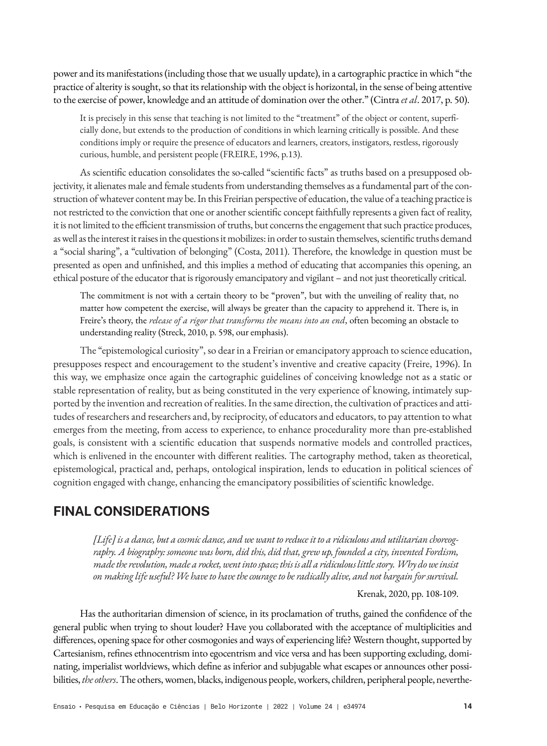power and its manifestations (including those that we usually update), in a cartographic practice in which "the practice of alterity is sought, so that its relationship with the object is horizontal, in the sense of being attentive to the exercise of power, knowledge and an attitude of domination over the other." (Cintra *et al*. 2017, p. 50).

It is precisely in this sense that teaching is not limited to the "treatment" of the object or content, superficially done, but extends to the production of conditions in which learning critically is possible. And these conditions imply or require the presence of educators and learners, creators, instigators, restless, rigorously curious, humble, and persistent people (FREIRE, 1996, p.13).

As scientific education consolidates the so-called "scientific facts" as truths based on a presupposed objectivity, it alienates male and female students from understanding themselves as a fundamental part of the construction of whatever content may be. In this Freirian perspective of education, the value of a teaching practice is not restricted to the conviction that one or another scientific concept faithfully represents a given fact of reality, it is not limited to the efficient transmission of truths, but concerns the engagement that such practice produces, as well as the interest it raises in the questions it mobilizes: in order to sustain themselves, scientific truths demand a "social sharing", a "cultivation of belonging" (Costa, 2011). Therefore, the knowledge in question must be presented as open and unfinished, and this implies a method of educating that accompanies this opening, an ethical posture of the educator that is rigorously emancipatory and vigilant – and not just theoretically critical.

The commitment is not with a certain theory to be "proven", but with the unveiling of reality that, no matter how competent the exercise, will always be greater than the capacity to apprehend it. There is, in Freire's theory, the *release of a rigor that transforms the means into an end*, often becoming an obstacle to understanding reality (Streck, 2010, p. 598, our emphasis).

The "epistemological curiosity", so dear in a Freirian or emancipatory approach to science education, presupposes respect and encouragement to the student's inventive and creative capacity (Freire, 1996). In this way, we emphasize once again the cartographic guidelines of conceiving knowledge not as a static or stable representation of reality, but as being constituted in the very experience of knowing, intimately supported by the invention and recreation of realities. In the same direction, the cultivation of practices and attitudes of researchers and researchers and, by reciprocity, of educators and educators, to pay attention to what emerges from the meeting, from access to experience, to enhance procedurality more than pre-established goals, is consistent with a scientific education that suspends normative models and controlled practices, which is enlivened in the encounter with different realities. The cartography method, taken as theoretical, epistemological, practical and, perhaps, ontological inspiration, lends to education in political sciences of cognition engaged with change, enhancing the emancipatory possibilities of scientific knowledge.

# **FINAL CONSIDERATIONS**

*[Life] is a dance, but a cosmic dance, and we want to reduce it to a ridiculous and utilitarian choreography. A biography: someone was born, did this, did that, grew up, founded a city, invented Fordism, made the revolution, made a rocket, went into space; this is all a ridiculous little story. Why do we insist on making life useful? We have to have the courage to be radically alive, and not bargain for survival.*

Krenak, 2020, pp. 108-109.

Has the authoritarian dimension of science, in its proclamation of truths, gained the confidence of the general public when trying to shout louder? Have you collaborated with the acceptance of multiplicities and differences, opening space for other cosmogonies and ways of experiencing life? Western thought, supported by Cartesianism, refines ethnocentrism into egocentrism and vice versa and has been supporting excluding, dominating, imperialist worldviews, which define as inferior and subjugable what escapes or announces other possibilities, *the others*. The others, women, blacks, indigenous people, workers, children, peripheral people, neverthe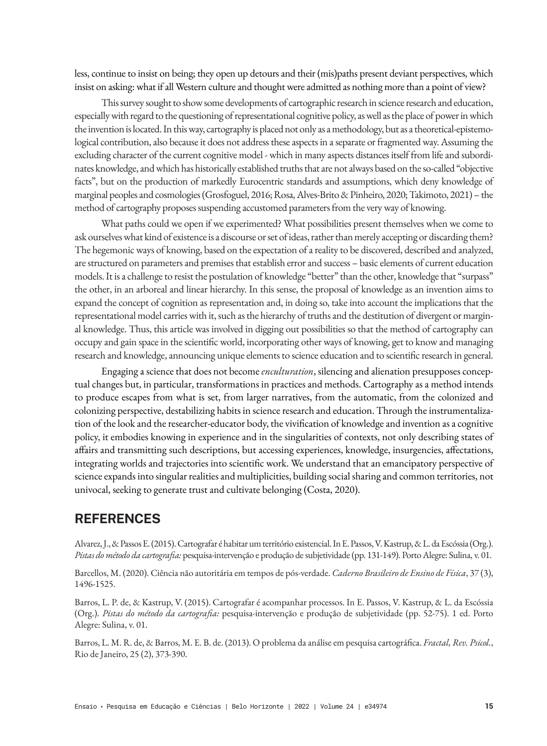less, continue to insist on being; they open up detours and their (mis)paths present deviant perspectives, which insist on asking: what if all Western culture and thought were admitted as nothing more than a point of view?

This survey sought to show some developments of cartographic research in science research and education, especially with regard to the questioning of representational cognitive policy, as well as the place of power in which the invention is located. In this way, cartography is placed not only as a methodology, but as a theoretical-epistemological contribution, also because it does not address these aspects in a separate or fragmented way. Assuming the excluding character of the current cognitive model - which in many aspects distances itself from life and subordinates knowledge, and which has historically established truths that are not always based on the so-called "objective facts", but on the production of markedly Eurocentric standards and assumptions, which deny knowledge of marginal peoples and cosmologies (Grosfoguel, 2016; Rosa, Alves-Brito & Pinheiro, 2020; Takimoto, 2021) – the method of cartography proposes suspending accustomed parameters from the very way of knowing.

What paths could we open if we experimented? What possibilities present themselves when we come to ask ourselves what kind of existence is a discourse or set of ideas, rather than merely accepting or discarding them? The hegemonic ways of knowing, based on the expectation of a reality to be discovered, described and analyzed, are structured on parameters and premises that establish error and success – basic elements of current education models. It is a challenge to resist the postulation of knowledge "better" than the other, knowledge that "surpass" the other, in an arboreal and linear hierarchy. In this sense, the proposal of knowledge as an invention aims to expand the concept of cognition as representation and, in doing so, take into account the implications that the representational model carries with it, such as the hierarchy of truths and the destitution of divergent or marginal knowledge. Thus, this article was involved in digging out possibilities so that the method of cartography can occupy and gain space in the scientific world, incorporating other ways of knowing, get to know and managing research and knowledge, announcing unique elements to science education and to scientific research in general.

Engaging a science that does not become *enculturation*, silencing and alienation presupposes conceptual changes but, in particular, transformations in practices and methods. Cartography as a method intends to produce escapes from what is set, from larger narratives, from the automatic, from the colonized and colonizing perspective, destabilizing habits in science research and education. Through the instrumentalization of the look and the researcher-educator body, the vivification of knowledge and invention as a cognitive policy, it embodies knowing in experience and in the singularities of contexts, not only describing states of affairs and transmitting such descriptions, but accessing experiences, knowledge, insurgencies, affectations, integrating worlds and trajectories into scientific work. We understand that an emancipatory perspective of science expands into singular realities and multiplicities, building social sharing and common territories, not univocal, seeking to generate trust and cultivate belonging (Costa, 2020).

## **REFERENCES**

Alvarez, J., & Passos E. (2015). Cartografar é habitar um território existencial. In E. Passos, V. Kastrup, & L. da Escóssia (Org.). *Pistas do método da cartografia:* pesquisa-intervenção e produção de subjetividade (pp. 131-149). Porto Alegre: Sulina, v. 01.

Barcellos, M. (2020). Ciência não autoritária em tempos de pós-verdade. *Caderno Brasileiro de Ensino de Física*, 37 (3), 1496-1525.

Barros, L. P. de, & Kastrup, V. (2015). Cartografar é acompanhar processos. In E. Passos, V. Kastrup, & L. da Escóssia (Org.). *Pistas do método da cartografia:* pesquisa-intervenção e produção de subjetividade (pp. 52-75). 1 ed. Porto Alegre: Sulina, v. 01.

Barros, L. M. R. de, & Barros, M. E. B. de. (2013). O problema da análise em pesquisa cartográfica. *Fractal, Rev. Psicol.*, Rio de Janeiro, 25 (2), 373-390.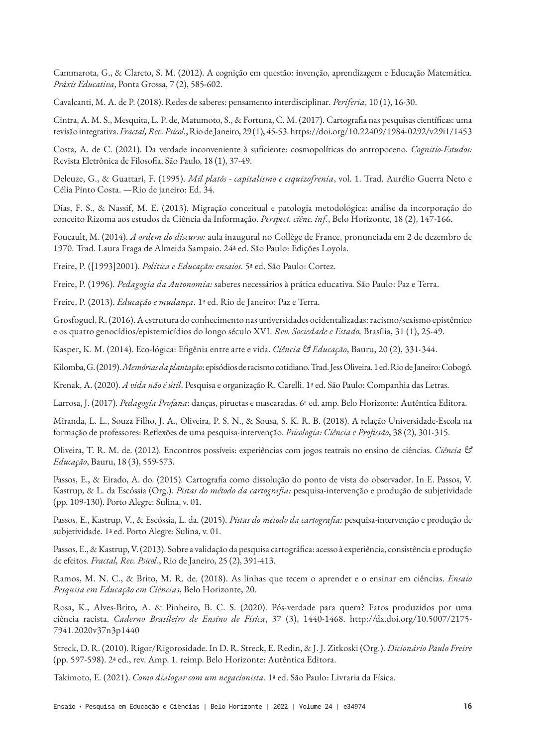Cammarota, G., & Clareto, S. M. (2012). A cognição em questão: invenção, aprendizagem e Educação Matemática. *Práxis Educativa*, Ponta Grossa, 7 (2), 585-602.

Cavalcanti, M. A. de P. (2018). Redes de saberes: pensamento interdisciplinar. *Periferia*, 10 (1), 16-30.

Cintra, A. M. S., Mesquita, L. P. de, Matumoto, S., & Fortuna, C. M. (2017). Cartografia nas pesquisas científicas: uma revisão integrativa. *Fractal, Rev. Psicol.*, Rio de Janeiro, 29 (1), 45-53. https://doi.org/10.22409/1984-0292/v29i1/1453

Costa, A. de C. (2021). Da verdade inconveniente à suficiente: cosmopolíticas do antropoceno. *Cognitio-Estudos:*  Revista Eletrônica de Filosofia, São Paulo, 18 (1), 37-49.

Deleuze, G., & Guattari, F. (1995). *Mil platôs - capitalismo e esquizofrenia*, vol. 1. Trad. Aurélio Guerra Neto e Célia Pinto Costa. —Rio de janeiro: Ed. 34.

Dias, F. S., & Nassif, M. E. (2013). Migração conceitual e patologia metodológica: análise da incorporação do conceito Rizoma aos estudos da Ciência da Informação. *Perspect. ciênc. inf.*, Belo Horizonte, 18 (2), 147-166.

Foucault, M. (2014). *A ordem do discurso:* aula inaugural no Collège de France, pronunciada em 2 de dezembro de 1970. Trad. Laura Fraga de Almeida Sampaio. 24ª ed. São Paulo: Edições Loyola.

Freire, P. ([1993]2001). *Política e Educação: ensaios*. 5ª ed. São Paulo: Cortez.

Freire, P. (1996). *Pedagogia da Autonomia:* saberes necessários à prática educativa*.* São Paulo: Paz e Terra.

Freire, P. (2013). *Educação e mudança*. 1ª ed. Rio de Janeiro: Paz e Terra.

Grosfoguel, R. (2016). A estrutura do conhecimento nas universidades ocidentalizadas: racismo/sexismo epistêmico e os quatro genocídios/epistemicídios do longo século XVI. *Rev. Sociedade e Estado,* Brasília, 31 (1), 25-49.

Kasper, K. M. (2014). Eco-lógica: Efigênia entre arte e vida. *Ciência & Educação*, Bauru, 20 (2), 331-344.

Kilomba, G. (2019). *Memórias da plantação*: episódios de racismo cotidiano. Trad. Jess Oliveira. 1 ed. Rio de Janeiro: Cobogó.

Krenak, A. (2020). *A vida não é útil*. Pesquisa e organização R. Carelli. 1ª ed. São Paulo: Companhia das Letras.

Larrosa, J. (2017). *Pedagogia Profana*: danças, piruetas e mascaradas*.* 6ª ed. amp. Belo Horizonte: Autêntica Editora.

Miranda, L. L., Souza Filho, J. A., Oliveira, P. S. N., & Sousa, S. K. R. B. (2018). A relação Universidade-Escola na formação de professores: Reflexões de uma pesquisa-intervenção. *Psicologia: Ciência e Profissão*, 38 (2), 301-315.

Oliveira, T. R. M. de. (2012). Encontros possíveis: experiências com jogos teatrais no ensino de ciências. *Ciência & Educação*, Bauru, 18 (3), 559-573.

Passos, E., & Eirado, A. do. (2015). Cartografia como dissolução do ponto de vista do observador. In E. Passos, V. Kastrup, & L. da Escóssia (Org.). *Pistas do método da cartografia:* pesquisa-intervenção e produção de subjetividade (pp. 109-130). Porto Alegre: Sulina, v. 01.

Passos, E., Kastrup, V., & Escóssia, L. da. (2015). *Pistas do método da cartografia:* pesquisa-intervenção e produção de subjetividade. 1ª ed. Porto Alegre: Sulina, v. 01.

Passos, E., & Kastrup, V. (2013). Sobre a validação da pesquisa cartográfica: acesso à experiência, consistência e produção de efeitos. *Fractal, Rev. Psicol*., Rio de Janeiro, 25 (2), 391-413.

Ramos, M. N. C., & Brito, M. R. de. (2018). As linhas que tecem o aprender e o ensinar em ciências. *Ensaio Pesquisa em Educação em Ciências*, Belo Horizonte, 20.

Rosa, K., Alves-Brito, A. & Pinheiro, B. C. S. (2020). Pós-verdade para quem? Fatos produzidos por uma ciência racista. *Caderno Brasileiro de Ensino de Física*, 37 (3), 1440-1468. http://dx.doi.org/10.5007/2175- 7941.2020v37n3p1440

Streck, D. R. (2010). Rigor/Rigorosidade. In D. R. Streck, E. Redin, & J. J. Zitkoski (Org.). *Dicionário Paulo Freire*  (pp. 597-598). 2ª ed., rev. Amp. 1. reimp. Belo Horizonte: Autêntica Editora.

Takimoto, E. (2021). *Como dialogar com um negacionista*. 1ª ed. São Paulo: Livraria da Física.